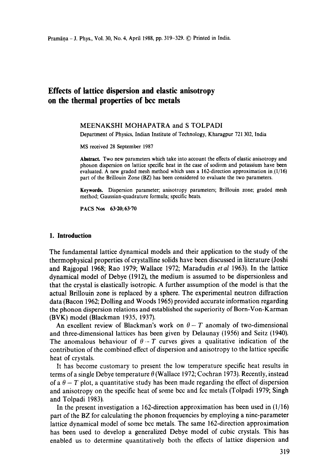# **Effects of lattice dispersion and elastic anisotropy on the thermal properties of bcc metals**

### MEENAKSHI MOHAPATRA and S TOLPADI

Department of Physics, Indian Institute of Technology, Kharagpur 721 302, India

MS received 28 September 1987

**Abstract.** Two new parameters which take into account the effects of elastic anisotropy and phonon dispersion on lattice specific heat in the case of sodium and potassium have been evaluated. A new graded mesh method which uses a 162-direction approximation in  $(1/16)$ part of the Brillouin Zone (BZ) has been considered to evaluate the two parameters.

Keywords. Dispersion parameter; anisotropy parameters; Brillouin zone; graded mesh method; Gaussian-quadrature formula; specific heats.

PACS Nos **63.20;63.70** 

#### **1. Introduction**

The fundamental lattice dynamical models and their application to the study of the thermophysical properties of crystalline solids have been discussed in literature (Joshi and Rajgopal 1968; Rao 1979; Wallace 1972; Maradudin *etal* 1963). In the lattice dynamical model of Debye (1912), the medium is assumed to be dispersionless and that the crystal is elastically isotropic. A further assumption of the model is that the actual Brillouin zone is replaced by a sphere. The experimental neutron diffraction data (Bacon 1962; Dolling and Woods 1965) provided accurate information regarding the phonon dispersion relations and established the superiority of Born-Von-Karman (BVK) model (Blackman 1935, 1937).

An excellent review of Blackman's work on  $\theta - T$  anomaly of two-dimensional and three-dimensional lattices has been given by Delaunay (1956) and Seitz (1940). The anomalous behaviour of  $\theta - T$  curves gives a qualitative indication of the contribution of the combined effect of dispersion and anisotropy to the lattice specific heat of crystals.

It has become customary to present the low temperature specific heat results in terms of a single Debye temperature  $\theta$  (Wallace 1972; Cochran 1973). Recently, instead of a  $\theta$  – T plot, a quantitative study has been made regarding the effect of dispersion and anisotropy on the specific heat of some bcc and fcc metals (Tolpadi 1979; Singh and Tolpadi 1983).

In the present investigation a 162-direction approximation has been used in  $(1/16)$ part of the BZ for calculating the phonon frequencies by employing a nine-parameter lattice dynamical model of some bcc metals. The same 162-direction approximation has been used to develop a generalized Debye model of cubic crystals. This has enabled us to determine quantitatively both the effects of lattice dispersion and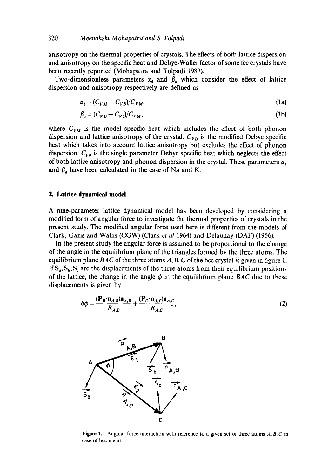anisotropy on the thermal properties of crystals. The effects of both lattice dispersion and anisotropy on the specific heat and Debye-Waller factor of some fcc crystals have been recently reported (Mohapatra and Tolpadi 1987).

Two-dimensionless parameters  $\alpha_d$  and  $\beta_d$  which consider the effect of lattice dispersion and anisotropy respectively are defined as

$$
\alpha_d = (C_{VM} - C_{VD})/C_{VM},\tag{1a}
$$

$$
\beta_a = (C_{VD} - C_{V\theta})/C_{VM},\tag{1b}
$$

where  $C_{VM}$  is the model specific heat which includes the effect of both phonon dispersion and lattice anisotropy of the crystal.  $C_{VD}$  is the modified Debye specific heat which takes into account lattice anisotropy but excludes the effect of phonon dispersion.  $C_{V\theta}$  is the single parameter Debye specific heat which neglects the effect of both lattice anisotropy and phonon dispersion in the crystal. These parameters  $\alpha_d$ and  $\beta_a$  have been calculated in the case of Na and K.

# **2. Lattice dynamical model**

A nine-parameter lattice dynamical model has been developed by considering a modified form of angular force to investigate the thermal properties of crystals in the present study. The modified angular force used here is different from the models of Clark, Gazis and Wallis (CGW) (Clark *et al* 1964) and Delaunay (DAF) (1956).

In the present study the angular force is assumed to be proportional to the change of the angle in the equilibrium plane of the triangles formed by the three atoms. The equilibrium plane *BAC* of the three atoms A, B, C of the bcc crystal is given in figure 1. If  $S_{a}$ ,  $S_{b}$ ,  $S_{c}$  are the displacements of the three atoms from their equilibrium positions of the lattice, the change in the angle  $\phi$  in the equilibrium plane *BAC* due to these displacements is given by

$$
\delta \phi = \frac{(\mathbf{P}_B \cdot \mathbf{n}_{A,B}) \mathbf{n}_{A,B}}{R_{A,B}} + \frac{(\mathbf{P}_C \cdot \mathbf{n}_{A,C}) \mathbf{n}_{A,C}}{R_{A,C}},
$$
\n(2)



Figure l. Angular force interaction with reference to a given set of three atoms *A, B, C* in case of bcc metal.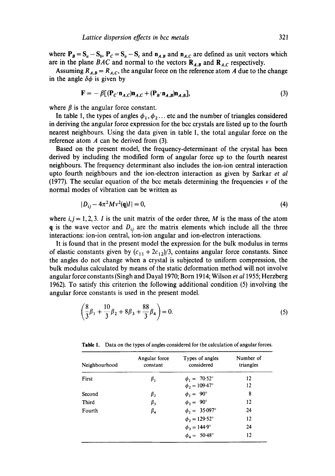where  $P_B = S_a - S_b$ ,  $P_C = S_a - S_c$  and  $n_{A,B}$  and  $n_{A,C}$  are defined as unit vectors which are in the plane *BAC* and normal to the vectors  $\mathbf{R}_{A,B}$  and  $\mathbf{R}_{A,C}$  respectively.

Assuming  $R_{A,B} = R_{A,C}$ , the angular force on the reference atom A due to the change in the angle  $\delta\phi$  is given by

$$
\mathbf{F} = -\beta \left[ (\mathbf{P}_c \cdot \mathbf{n}_{A,C}) \mathbf{n}_{A,C} + (\mathbf{P}_B \cdot \mathbf{n}_{A,B}) \mathbf{n}_{A,B} \right],\tag{3}
$$

where  $\beta$  is the angular force constant.

In table 1, the types of angles  $\phi_1, \phi_2$ ... etc and the number of triangles considered in deriving the angular force expression for the bcc crystals are listed up to the fourth nearest neighbours. Using the data given in table 1, the total angular force on the reference atom  $A$  can be derived from (3).

Based on the present model, the frequency-determinant of the crystal has been derived by including the modified form of angular force up to the fourth nearest neighbours. The frequency determinant also includes the ion-ion central interaction upto fourth neighbours and the ion-electron interaction as given by Sarkar *et al*  (1977). The secular equation of the bcc metals determining the frequencies  $\nu$  of the normal modes of vibration can be written as

$$
|D_{ij} - 4\pi^2 M v^2(\mathbf{q})I| = 0,\t\t(4)
$$

where  $i, j = 1, 2, 3$ . I is the unit matrix of the order three, M is the mass of the atom q is the wave vector and  $D_{ij}$  are the matrix elements which include all the three interactions: ion-ion central, ion-ion angular and ion-electron interactions.

It is found that in the present model the expression for the bulk modulus in terms of elastic constants given by  $(c_{11} + 2c_{12})/3$ , contains angular force constants. Since the angles do not change when a crystal is subjected to uniform compression, the bulk modulus calculated by means of the static deformation method will not involve angular force constants (Singh and Dayal 1970; Born 1914; Wilson *et a11955;* Herzberg 1962). To satisfy this criterion the following additional condition (5) involving the angular force constants is used in the present model.

$$
\left(\frac{8}{3}\beta_1 + \frac{10}{3}\beta_2 + 8\beta_3 + \frac{88}{3}\beta_4\right) = 0.
$$
 (5)

| Neighbourhood | Angular force<br>constant | Types of angles<br>considered | Number of<br>triangles |  |
|---------------|---------------------------|-------------------------------|------------------------|--|
| First         | β,                        | $\phi_1 = 70.52^{\circ}$      | 12                     |  |
|               |                           | $\phi_2 = 109.47^{\circ}$     | 12                     |  |
| Second        | $\beta_{2}$               | $\phi_1 = 90^\circ$           | 8                      |  |
| <b>Third</b>  | $\beta_{3}$               | $\phi_2 = 90^\circ$           | 12                     |  |
| Fourth        | $\beta_{\texttt{4}}$      | $\phi_1 = 35.097^\circ$       | 24                     |  |
|               |                           | $\phi_2 = 129.52^{\circ}$     | 12                     |  |
|               |                           | $\phi_3 = 144.9^{\circ}$      | 24                     |  |
|               |                           | $\phi_4 = 50.48^{\circ}$      | 12                     |  |

Table 1. Data on the types of angles considered for the calculation of angular forces.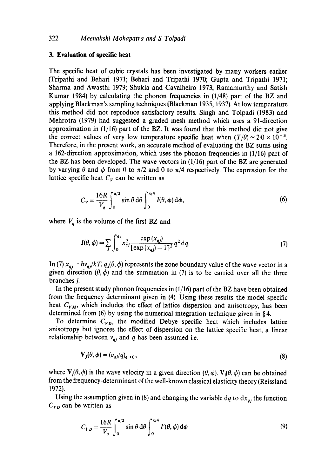#### **3. Evaluation of specific heat**

The specific heat of cubic crystals has been investigated by many workers earlier (Tripathi and Behari 1971; Behari and Tripathi 1970; Gupta and Tripathi 1971; Sharma and Awasthi 1979; Shukla and Cavalheiro 1973; Ramamurthy and Satish Kumar 1984) by calculating the phonon frequencies in (1/48) part of the BZ and applying Blackman's sampling techniques (Blackman I935, 1937). At low temperature this method did not reproduce satisfactory results. Singh and Tolpadi (1983) and Mehrotra (1979) had suggested a graded mesh method which uses a 91-direction approximation in  $(1/16)$  part of the BZ. It was found that this method did not give the correct values of very low temperature specific heat when  $(T/\theta) \approx 2.0 \times 10^{-3}$ . Therefore, in the present work, an accurate method of evaluating the BZ sums using a 162-direction approximation, which uses the phonon frequencies in (1/16) part of the BZ has been developed. The wave vectors in (1/16) part of the BZ are generated by varying  $\theta$  and  $\phi$  from 0 to  $\pi/2$  and 0 to  $\pi/4$  respectively. The expression for the lattice specific heat  $C_V$  can be written as

$$
C_V = \frac{16R}{V_q} \int_0^{\pi/2} \sin \theta \, d\theta \int_0^{\pi/4} I(\theta, \phi) \, d\phi,\tag{6}
$$

where  $V_q$  is the volume of the first BZ and

$$
I(\theta, \phi) = \sum_{j} \int_0^{q_x} x_{ij}^2 \frac{\exp(x_{ij})}{[\exp(x_{ij}) - 1]^2} q^2 dq.
$$
 (7)

In (7)  $x_{qj} = h v_{qj}/kT$ ,  $q_z(\theta, \phi)$  represents the zone boundary value of the wave vector in a given direction  $(\theta, \phi)$  and the summation in (7) is to be carried over all the three branches j.

In the present study phonon frequencies in (1/16) part of the BZ have been obtained from the frequency determinant given in (4). Using these results the model specific heat  $C_{VM}$ , which includes the effect of lattice dispersion and anisotropy, has been determined from (6) by using the numerical integration technique given in § 4.

To determine  $C_{VD}$ , the modified Debye specific heat which includes lattice anisotropy but ignores the effect of dispersion on the lattice specific heat, a linear relationship between  $v_{qi}$  and q has been assumed i.e.

$$
\mathbf{V}_j(\theta, \phi) = (v_{qj}/q)_{q \to 0},\tag{8}
$$

where  $V_j(\theta, \phi)$  is the wave velocity in a given direction  $(\theta, \phi)$ .  $V_j(\theta, \phi)$  can be obtained from the frequency-determinant of the well-known classical elasticity theory (Reissland 1972).

Using the assumption given in (8) and changing the variable dq to  $dx_{qj}$  the function  $C_{VD}$  can be written as

$$
C_{VD} = \frac{16R}{V_q} \int_0^{\pi/2} \sin \theta \, d\theta \int_0^{\pi/4} I'(\theta, \phi) \, d\phi \tag{9}
$$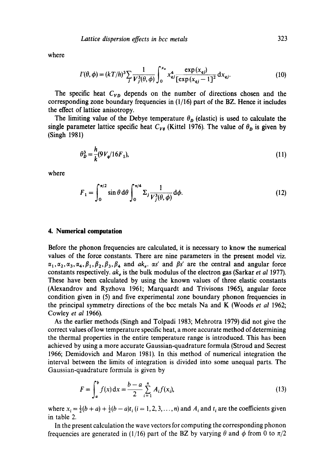where

$$
I'(\theta,\phi) = (kT/h)^3 \sum_{j} \frac{1}{V_j^3(\theta,\phi)} \int_0^{x_z} x_{qj}^4 \frac{\exp(x_{qj})}{[\exp(x_{qj}-1)]^2} dx_{qj}.
$$
 (10)

The specific heat  $C_{VD}$  depends on the number of directions chosen and the corresponding zone boundary frequencies in  $(1/16)$  part of the BZ. Hence it includes the effect of lattice anisotropy.

The limiting value of the Debye temperature  $\theta_p$  (elastic) is used to calculate the single parameter lattice specific heat  $C_{V\theta}$  (Kittel 1976). The value of  $\theta_D$  is given by (Singh 1981)

$$
\theta_D^3 = \frac{h}{k} (9V_q/16F_1),\tag{11}
$$

where

$$
F_1 = \int_0^{\pi/2} \sin \theta \, d\theta \int_0^{\pi/4} \Sigma_j \frac{1}{V_j^3(\theta, \phi)} \, d\phi. \tag{12}
$$

#### **4. Numerical computation**

Before the phonon frequencies are calculated, it is necessary to know the numerical values of the force constants. There are nine parameters in the present model viz.  $\alpha_1,\alpha_2,\alpha_3,\alpha_4,\beta_1,\beta_2,\beta_3,\beta_4$  and  $ak_e$ .  $\alpha s'$  and  $\beta s'$  are the central and angular force constants respectively.  $ak_e$  is the bulk modulus of the electron gas (Sarkar *et al* 1977). These have been calculated by using the known values of three elastic constants (Alexandrov and Ryzhova 1961; Marquardt and Trivisons 1965), angular force condition given in (5) and five experimental zone boundary phonon frequencies in the principal symmetry directions of the bcc metals Na and K (Woods *et al* 1962; Cowley *et al* 1966).

As the earlier methods (Singh and Tolpadi 1983; Mehrotra 1979) did not give the correct values of low temperature specific heat, a more accurate method of determining the thermal properties in the entire temperature range is introduced. This has been achieved by using a more accurate Gaussian-quadrature formula (Stroud and Secrest 1966; Demidovich and Maron 1981). In this method of numerical integration the interval between the limits of integration is divided into some unequal parts. The Gaussian-quadrature formula is given by

$$
F = \int_{a}^{b} f(x) dx = \frac{b-a}{2} \sum_{i=1}^{n} A_{i} f(x_{i}),
$$
 (13)

where  $x_i = \frac{1}{2}(b + a) + \frac{1}{2}(b - a)t_i$  (i = 1, 2, 3, ..., n) and  $A_i$  and  $t_i$  are the coefficients given in table 2.

In the present calculation the wave vectors for computing the corresponding phonon frequencies are generated in (1/16) part of the BZ by varying  $\theta$  and  $\phi$  from 0 to  $\pi/2$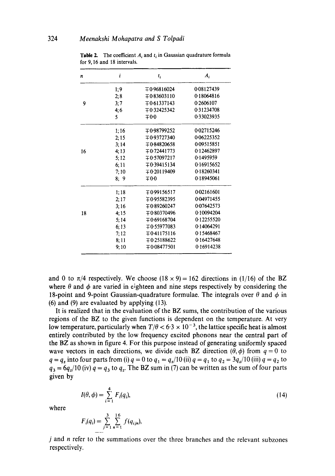| n  | i    | $t_i$            | $A_i$      |
|----|------|------------------|------------|
|    | 1;9  | $\mp 0.96816024$ | 0.08127439 |
|    | 2;8  | $\mp 0.83603110$ | 0.18064816 |
| 9  | 3;7  | $\mp 0.61337143$ | 0.2606107  |
|    | 4:6  | $\mp 0.32425342$ | 0.31234708 |
|    | 5    | $\mp 0.0$        | 0.33023935 |
|    | 1;16 | $\mp 0.98799252$ | 0.02715246 |
|    | 2:15 | $\mp 0.93727340$ | 0.06225352 |
|    | 3:14 | $\mp 0.84820658$ | 0.09515851 |
| 16 | 4:13 | $\mp 0.72441773$ | 0.12462897 |
|    | 5:12 | $\mp 0.57097217$ | 0.1495959  |
|    | 6;11 | $\mp 0.39415134$ | 0.16915652 |
|    | 7:10 | $\mp 0.20119409$ | 0.18260341 |
|    | 8;9  | $\mp 0.0$        | 0.18945061 |
|    | 1:18 | ∓0.99156517      | 0.02161601 |
|    | 2;17 | ∓0.95582395      | 0.04971455 |
|    | 3:16 | ∓0.89260247      | 0.07642573 |
| 18 | 4:15 | $\mp 0.80370496$ | 0.10094204 |
|    | 5:14 | $\mp 0.69168704$ | 0.12255520 |
|    | 6:13 | $\mp 0.55977083$ | 0.14064291 |
|    | 7:12 | $\mp 0.41175116$ | 0.15468467 |
|    | 8;11 | $\mp 0.25188622$ | 0.16427648 |
|    | 9;10 | $\mp 0.08477501$ | 0.16914238 |

**Table 2.** The coefficient  $A_i$  and  $t_i$  in Gaussian quadrature formula for 9,16 and 18 intervals.

and 0 to  $\pi/4$  respectively. We choose  $(18 \times 9) = 162$  directions in (1/16) of the BZ where  $\theta$  and  $\phi$  are varied in eighteen and nine steps respectively by considering the 18-point and 9-point Gaussian-quadrature formulae. The integrals over  $\theta$  and  $\phi$  in (6) and (9) are evaluated by applying (13).

It is realized that in the evaluation of the BZ sums, the contribution of the various regions of the BZ to the given functions is dependent on the temperature. At very low temperature, particularly when  $T/\theta < 6.3 \times 10^{-3}$ , the lattice specific heat is almost entirely contributed by the low frequency excited phonons near the central part of the BZ as shown in figure 4. For this purpose instead of generating uniformly spaced wave vectors in each directions, we divide each BZ direction  $(\theta, \phi)$  from  $q = 0$  to  $q = q_z$  into four parts from (i)  $q = 0$  to  $q_1 = q_z/10$  (ii)  $q = q_1$  to  $q_2 = 3q_z/10$  (iii)  $q = q_2$  to  $q_3 = 6q_z/10$  (iv)  $q = q_3$  to  $q_z$ . The BZ sum in (7) can be written as the sum of four parts given by

$$
I(\theta, \phi) = \sum_{i=1}^{4} F_i(q_i),
$$
 (14)

where

$$
F_i(q_i) = \sum_{j=1}^3 \sum_{n=1}^{16} f(q_{ijn}),
$$

j and n refer to the summations over the three branches and the relevant subzones respectively,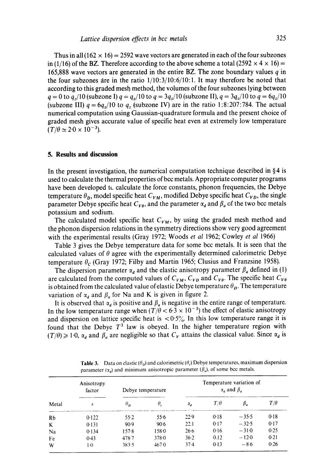Thus in all  $(162 \times 16) = 2592$  wave vectors are generated in each of the four subzones in (1/16) of the BZ. Therefore according to the above scheme a total (2592  $\times$  4  $\times$  16) = 165,888 wave vectors are generated in the entire BZ. The zone boundary values  $q$  in the four subzones are in the ratio 1/10:3/10:6/10:1. It may therefore be noted that according to this graded mesh method, the volumes of the four subzones lying between  $q = 0$  to  $q_1/10$  (subzone I)  $q = q_1/10$  to  $q = 3q_1/10$  (subzone II),  $q = 3q_1/10$  to  $q = 6q_1/10$ (subzone III)  $q = 6q<sub>z</sub>/10$  to q. (subzone IV) are in the ratio 1:8:207:784. The actual numerical computation using Gaussian-quadrature formula and the present choice of graded mesh gives accurate value of specific heat even at extremely low temperature  $(T/\theta \simeq 2.0 \times 10^{-3})$ .

#### **5. Results and discussion**

In the present investigation, the numerical computation technique described in  $\S 4$  is used to calculate the thermal properties of bcc metals. Appropriate computer programs have been developed tc calculate the force constants, phonon frequencies, the Debye temperature  $\theta_p$ , model specific heat  $C_{VM}$ , modified Debye specific heat  $C_{VD}$ , the single parameter Debye specific heat  $C_{V,\theta}$ , and the parameter  $\alpha_d$  and  $\beta_a$  of the two bcc metals potassium and sodium.

The calculated model specific heat  $C_{VM}$ , by using the graded mesh method and the phonon dispersion relations in the symmetry directions show very good agreement with the experimental results (Gray 1972; Woods *et al* 1962; Cowley *et al* 1966)

Table 3 gives the Debye temperature data for some bcc metals. It is seen that the calculated values of  $\theta$  agree with the experimentally determined calorimetric Debye temperature  $\theta_c$  (Gray 1972; Filby and Martin 1965; Clusius and Franzsine 1958).

The dispersion parameter  $\alpha_d$  and the elastic anisotropy parameter  $\beta_a$  defined in (1) are calculated from the computed values of  $C_{VM}$ ,  $C_{VD}$  and  $C_{V\theta}$ . The specific heat  $C_{V\theta}$ is obtained from the calculated value of elastic Debye temperature  $\theta_p$ . The temperature variation of  $\alpha_d$  and  $\beta_d$  for Na and K is given in figure 2.

It is observed that  $\alpha_d$  is positive and  $\beta_d$  is negative in the entire range of temperature. In the low temperature range when  $(T/\theta < 6.3 \times 10^{-3})$  the effect of elastic anisotropy and dispersion on lattice specific heat is  $<0.5\%$ . In this low temperature range it is found that the Debye  $T<sup>3</sup>$  law is obeyed. In the higher temperature region with  $(T/\theta) \ge 1.0$ ,  $\alpha_d$  and  $\beta_d$  are negligible so that  $C_V$  attains the classical value. Since  $\alpha_d$  is

| Metal   | Anisotropy<br>factor<br>S | Debye temperature |       | Temperature variation of<br>$\alpha_d$ and $\beta_a$ |            |         |            |
|---------|---------------------------|-------------------|-------|------------------------------------------------------|------------|---------|------------|
|         |                           | $\theta_{\bf n}$  | θ,    | $\alpha_{d}$                                         | $T/\theta$ | β,      | $T/\theta$ |
| Rb      | 0.122                     | $55-2$            | 55.6  | 22.9                                                 | 0.18       | $-35.5$ | 0.18       |
| $\bf K$ | 0.131                     | $90-9$            | 90.6  | 22.1                                                 | 0.17       | $-32.5$ | 0.17       |
| Na      | 0.134                     | 157.8             | 158.0 | 26.6                                                 | 0.16       | $-31.0$ | 0.25       |
| Fe      | 0.43                      | $478 - 7$         | 3780  | 36.2                                                 | 0.12       | $-120$  | 0.21       |
| W       | $1-0$                     | 383.5             | 4670  | $37-4$                                               | 0.13       | $-86$   | 0.26       |

**Table 3.** Data on elastic  $(\theta_p)$  and calorimetric  $(\theta_c)$  Debye temperatures, maximum dispersion parameter ( $x_d$ ) and minimum anisotropic parameter ( $\beta_a$ ), of some bcc metals.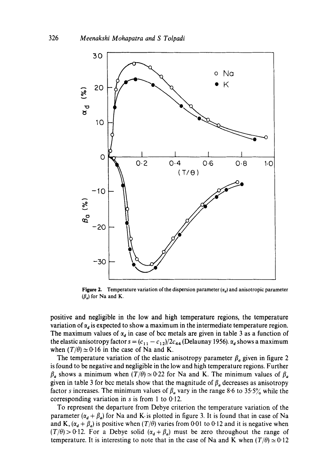

**Figure 2.** Temperature variation of the dispersion parameter  $(\alpha_d)$  and anisotropic parameter  $(\beta_a)$  for Na and K.

positive and negligible in the low and high temperature regions, the temperature variation of  $\alpha_d$  is expected to show a maximum in the intermediate temperature region. The maximum values of  $\alpha_d$  in case of bcc metals are given in table 3 as a function of the elastic anisotropy factor  $s = (c_{11} - c_{12})/2c_{44}$  (Delaunay 1956).  $\alpha_d$  shows a maximum when  $(T/\theta) \approx 0.16$  in the case of Na and K.

The temperature variation of the elastic anisotropy parameter  $\beta_a$  given in figure 2 is found to be negative and negligible in the low and high temperature regions. Further  $\beta_a$  shows a minimum when  $(T/\theta) \approx 0.22$  for Na and K. The minimum values of  $\beta_a$ given in table 3 for bcc metals show that the magnitude of  $\beta_a$  decreases as anisotropy factor s increases. The minimum values of  $\beta_a$  vary in the range 8.6 to 35.5% while the corresponding variation in s is from 1 to  $0.12$ .

To represent the departure from Debye criterion the temperature variation of the parameter  $(\alpha_d + \beta_d)$  for Na and K-is plotted in figure 3. It is found that in case of Na and K,  $(\alpha_d + \beta_d)$  is positive when  $(T/\theta)$  varies from 0.01 to 0.12 and it is negative when  $(T/\theta) > 0.12$ . For a Debye solid  $(\alpha_d + \beta_d)$  must be zero throughout the range of temperature. It is interesting to note that in the case of Na and K when  $(T/\theta) \approx 0.12$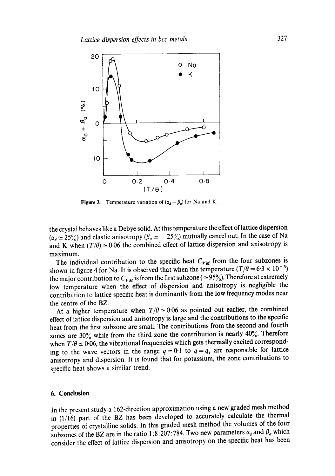

Figure 3. Temperature variation of  $(\alpha_d + \beta_a)$  for Na and K.

the crystal behaves like a Debye solid. At this temperature the effect of lattice dispersion  $(\alpha_d \approx 25\%)$  and elastic anisotropy  $(\beta_a \approx -25\%)$  mutually cancel out. In the case of Na and K when  $(T/\theta) \approx 0.06$  the combined effect of lattice dispersion and anisotropy is maximum.

The individual contribution to the specific heat  $C_{VM}$  from the four subzones is shown in figure 4 for Na. It is observed that when the temperature  $(T/\theta = 6.3 \times 10^{-3})$ the major contribution to  $C_{VM}$  is from the first subzone ( $\simeq 95\%$ ). Therefore at extremely low temperature when the effect of dispersion and anisotropy is negligible the contribution to lattice specific heat is dominantly from the low frequency modes near the centre of the BZ.

At a higher temperature when  $T/\theta \simeq 0.06$  as pointed out earlier, the combined effect of lattice dispersion and anisotropy is large and the contributions to the specific heat from the first subzone are small. The contributions from the second and fourth zones are  $30\%$  while from the third zone the contribution is nearly  $40\%$ . Therefore when  $T/\theta \simeq 0.06$ , the vibrational frequencies which gets thermally excited corresponding to the wave vectors in the range  $q = 0.1$  to  $q = q_z$  are responsible for lattice anisotropy and dispersion. It is found that for potassium, the zone contributions to specific heat shows a similar trend.

#### **6. Conclusion**

In the present study a 162-direction approximation using a new graded mesh method in (1/16) part of the BZ has been developed to accurately calculate the thermal properties of crystalline solids. In this graded mesh method the volumes of the four subzones of the BZ are in the ratio 1:8:207:784. Two new parameters  $\alpha_d$  and  $\beta_a$  which consider the effect of lattice dispersion and anisotropy on the specific heat has been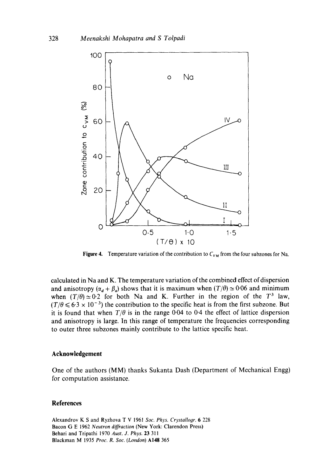

**Figure 4.** Temperature variation of the contribution to  $C_{VM}$  from the four subzones for Na.

calculated in Na and K. The temperature variation of the combined effect of dispersion and anisotropy  $(\alpha_d + \beta_d)$  shows that it is maximum when  $(T/\theta) \approx 0.06$  and minimum when  $(T/\theta) \approx 0.2$  for both Na and K. Further in the region of the T<sup>3</sup> law,  $(T/\theta \le 6.3 \times 10^{-3})$  the contribution to the specific heat is from the first subzone. But it is found that when  $T/\theta$  is in the range 0.04 to 0.4 the effect of lattice dispersion and anisotropy is large. In this range of temperature the frequencies corresponding to outer three subzones mainly contribute to the lattice specific heat.

#### **Acknowledgement**

One of the authors (MM) thanks Sukanta Dash (Department of Mechanical Engg) for computation assistance.

## **References**

Alexandrov K S and Ryzhova T V 1961 *Soc. Phys. Crystallogr.* 6 228 Bacon G E 1962 *Neutron diffraction* (New York: Clarendon Press) Behari and Tripathi 1970 *Aust. J. Phys.* 23 311 Blackman M 1935 *Proc. R. Soc. (London)* A148 365